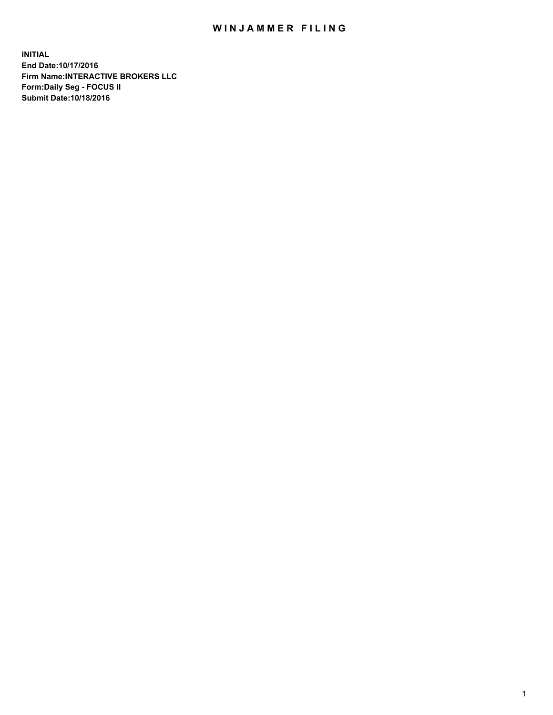## WIN JAMMER FILING

**INITIAL End Date:10/17/2016 Firm Name:INTERACTIVE BROKERS LLC Form:Daily Seg - FOCUS II Submit Date:10/18/2016**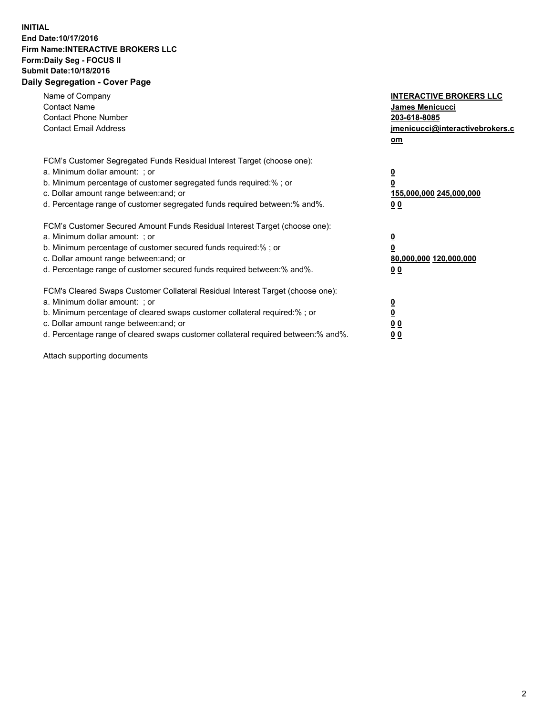## **INITIAL End Date:10/17/2016 Firm Name:INTERACTIVE BROKERS LLC Form:Daily Seg - FOCUS II Submit Date:10/18/2016 Daily Segregation - Cover Page**

| Name of Company<br><b>Contact Name</b><br><b>Contact Phone Number</b><br><b>Contact Email Address</b>                                                                                                                                                                                                                          | <b>INTERACTIVE BROKERS LLC</b><br>James Menicucci<br>203-618-8085<br><u>jmenicucci@interactivebrokers.c</u><br>om |
|--------------------------------------------------------------------------------------------------------------------------------------------------------------------------------------------------------------------------------------------------------------------------------------------------------------------------------|-------------------------------------------------------------------------------------------------------------------|
| FCM's Customer Segregated Funds Residual Interest Target (choose one):<br>a. Minimum dollar amount: ; or<br>b. Minimum percentage of customer segregated funds required:%; or<br>c. Dollar amount range between: and; or<br>d. Percentage range of customer segregated funds required between:% and%.                          | $\overline{\mathbf{0}}$<br>0<br>155,000,000 245,000,000<br>0 <sub>0</sub>                                         |
| FCM's Customer Secured Amount Funds Residual Interest Target (choose one):<br>a. Minimum dollar amount: ; or<br>b. Minimum percentage of customer secured funds required:%; or<br>c. Dollar amount range between: and; or<br>d. Percentage range of customer secured funds required between:% and%.                            | $\overline{\mathbf{0}}$<br>$\overline{\mathbf{0}}$<br>80,000,000 120,000,000<br>00                                |
| FCM's Cleared Swaps Customer Collateral Residual Interest Target (choose one):<br>a. Minimum dollar amount: ; or<br>b. Minimum percentage of cleared swaps customer collateral required:% ; or<br>c. Dollar amount range between: and; or<br>d. Percentage range of cleared swaps customer collateral required between:% and%. | $\overline{\mathbf{0}}$<br>$\overline{\mathbf{0}}$<br>0 <sub>0</sub><br><u>00</u>                                 |

Attach supporting documents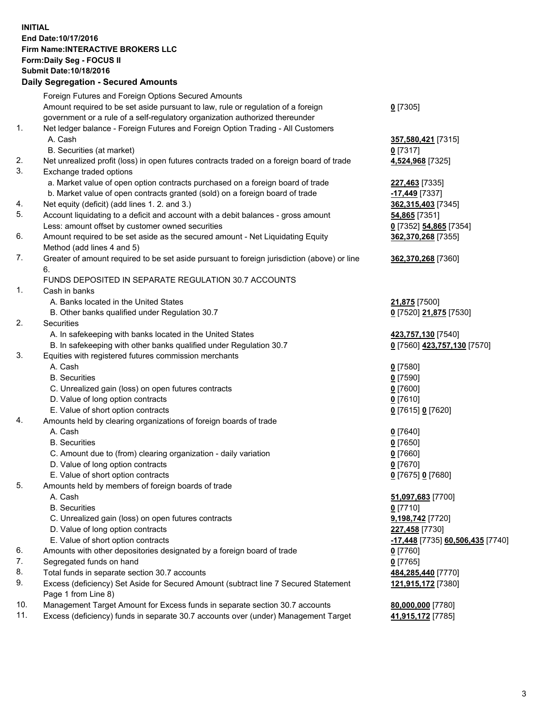## **INITIAL End Date:10/17/2016 Firm Name:INTERACTIVE BROKERS LLC Form:Daily Seg - FOCUS II Submit Date:10/18/2016 Daily Segregation - Secured Amounts**

|     | Daily Jegregation - Jeculed Aniounts                                                                       |                                  |
|-----|------------------------------------------------------------------------------------------------------------|----------------------------------|
|     | Foreign Futures and Foreign Options Secured Amounts                                                        |                                  |
|     | Amount required to be set aside pursuant to law, rule or regulation of a foreign                           | $0$ [7305]                       |
|     | government or a rule of a self-regulatory organization authorized thereunder                               |                                  |
| 1.  | Net ledger balance - Foreign Futures and Foreign Option Trading - All Customers                            |                                  |
|     | A. Cash                                                                                                    | 357,580,421 [7315]               |
|     | B. Securities (at market)                                                                                  | 0 [7317]                         |
| 2.  | Net unrealized profit (loss) in open futures contracts traded on a foreign board of trade                  | 4,524,968 [7325]                 |
| 3.  | Exchange traded options                                                                                    |                                  |
|     | a. Market value of open option contracts purchased on a foreign board of trade                             | 227,463 [7335]                   |
|     | b. Market value of open contracts granted (sold) on a foreign board of trade                               | -17,449 [7337]                   |
| 4.  | Net equity (deficit) (add lines 1.2. and 3.)                                                               | 362,315,403 [7345]               |
| 5.  | Account liquidating to a deficit and account with a debit balances - gross amount                          | 54,865 [7351]                    |
|     | Less: amount offset by customer owned securities                                                           | 0 [7352] 54,865 [7354]           |
| 6.  | Amount required to be set aside as the secured amount - Net Liquidating Equity                             | 362,370,268 [7355]               |
|     | Method (add lines 4 and 5)                                                                                 |                                  |
| 7.  | Greater of amount required to be set aside pursuant to foreign jurisdiction (above) or line                | 362,370,268 [7360]               |
|     | 6.                                                                                                         |                                  |
|     | FUNDS DEPOSITED IN SEPARATE REGULATION 30.7 ACCOUNTS                                                       |                                  |
| 1.  | Cash in banks                                                                                              |                                  |
|     | A. Banks located in the United States                                                                      | <b>21,875</b> [7500]             |
|     | B. Other banks qualified under Regulation 30.7                                                             | 0 [7520] 21,875 [7530]           |
| 2.  | Securities                                                                                                 |                                  |
|     | A. In safekeeping with banks located in the United States                                                  | 423,757,130 [7540]               |
|     | B. In safekeeping with other banks qualified under Regulation 30.7                                         | 0 [7560] 423,757,130 [7570]      |
| 3.  | Equities with registered futures commission merchants                                                      |                                  |
|     | A. Cash                                                                                                    | $0$ [7580]                       |
|     | <b>B.</b> Securities                                                                                       | $0$ [7590]                       |
|     | C. Unrealized gain (loss) on open futures contracts                                                        | $0$ [7600]                       |
|     | D. Value of long option contracts                                                                          | $0$ [7610]                       |
|     | E. Value of short option contracts                                                                         | 0 [7615] 0 [7620]                |
| 4.  | Amounts held by clearing organizations of foreign boards of trade                                          |                                  |
|     | A. Cash                                                                                                    | $0$ [7640]                       |
|     | <b>B.</b> Securities                                                                                       | $0$ [7650]                       |
|     | C. Amount due to (from) clearing organization - daily variation                                            | $0$ [7660]                       |
|     | D. Value of long option contracts                                                                          | $0$ [7670]                       |
|     | E. Value of short option contracts                                                                         | 0 [7675] 0 [7680]                |
| 5.  | Amounts held by members of foreign boards of trade                                                         |                                  |
|     | A. Cash                                                                                                    | 51,097,683 [7700]                |
|     | <b>B.</b> Securities                                                                                       | $0$ [7710]                       |
|     | C. Unrealized gain (loss) on open futures contracts                                                        | 9,198,742 [7720]                 |
|     | D. Value of long option contracts                                                                          | 227,458 [7730]                   |
|     | E. Value of short option contracts                                                                         | -17,448 [7735] 60,506,435 [7740] |
| 6.  | Amounts with other depositories designated by a foreign board of trade                                     | 0 [7760]                         |
| 7.  | Segregated funds on hand                                                                                   | $0$ [7765]                       |
| 8.  | Total funds in separate section 30.7 accounts                                                              | 484,285,440 [7770]               |
| 9.  | Excess (deficiency) Set Aside for Secured Amount (subtract line 7 Secured Statement<br>Page 1 from Line 8) | 121,915,172 [7380]               |
| 10. | Management Target Amount for Excess funds in separate section 30.7 accounts                                | 80,000,000 [7780]                |
| 11. | Excess (deficiency) funds in separate 30.7 accounts over (under) Management Target                         | 41,915,172 [7785]                |
|     |                                                                                                            |                                  |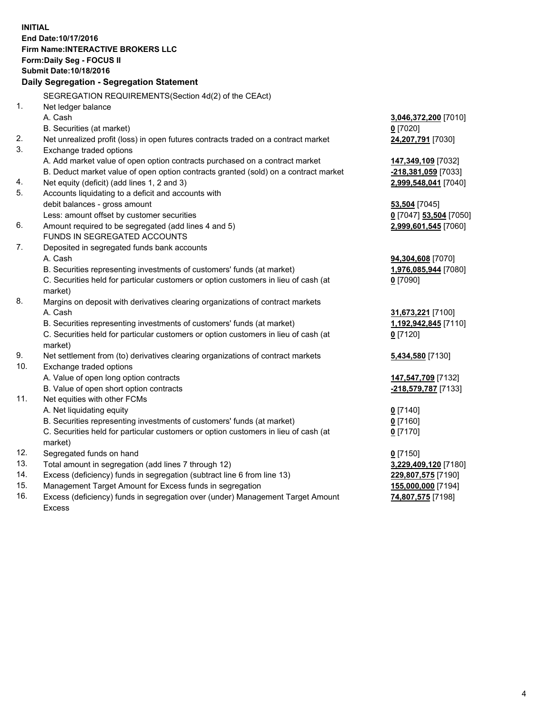**INITIAL End Date:10/17/2016 Firm Name:INTERACTIVE BROKERS LLC Form:Daily Seg - FOCUS II Submit Date:10/18/2016 Daily Segregation - Segregation Statement** SEGREGATION REQUIREMENTS(Section 4d(2) of the CEAct) 1. Net ledger balance A. Cash **3,046,372,200** [7010] B. Securities (at market) **0** [7020] 2. Net unrealized profit (loss) in open futures contracts traded on a contract market **24,207,791** [7030] 3. Exchange traded options A. Add market value of open option contracts purchased on a contract market **147,349,109** [7032] B. Deduct market value of open option contracts granted (sold) on a contract market **-218,381,059** [7033] 4. Net equity (deficit) (add lines 1, 2 and 3) **2,999,548,041** [7040] 5. Accounts liquidating to a deficit and accounts with debit balances - gross amount **53,504** [7045] Less: amount offset by customer securities **0** [7047] **53,504** [7050] 6. Amount required to be segregated (add lines 4 and 5) **2,999,601,545** [7060] FUNDS IN SEGREGATED ACCOUNTS 7. Deposited in segregated funds bank accounts A. Cash **94,304,608** [7070] B. Securities representing investments of customers' funds (at market) **1,976,085,944** [7080] C. Securities held for particular customers or option customers in lieu of cash (at market) **0** [7090] 8. Margins on deposit with derivatives clearing organizations of contract markets A. Cash **31,673,221** [7100] B. Securities representing investments of customers' funds (at market) **1,192,942,845** [7110] C. Securities held for particular customers or option customers in lieu of cash (at market) **0** [7120] 9. Net settlement from (to) derivatives clearing organizations of contract markets **5,434,580** [7130] 10. Exchange traded options A. Value of open long option contracts **147,547,709** [7132] B. Value of open short option contracts **-218,579,787** [7133] 11. Net equities with other FCMs A. Net liquidating equity **0** [7140] B. Securities representing investments of customers' funds (at market) **0** [7160] C. Securities held for particular customers or option customers in lieu of cash (at market) **0** [7170] 12. Segregated funds on hand **0** [7150] 13. Total amount in segregation (add lines 7 through 12) **3,229,409,120** [7180] 14. Excess (deficiency) funds in segregation (subtract line 6 from line 13) **229,807,575** [7190] 15. Management Target Amount for Excess funds in segregation **155,000,000** [7194]

16. Excess (deficiency) funds in segregation over (under) Management Target Amount Excess

**74,807,575** [7198]